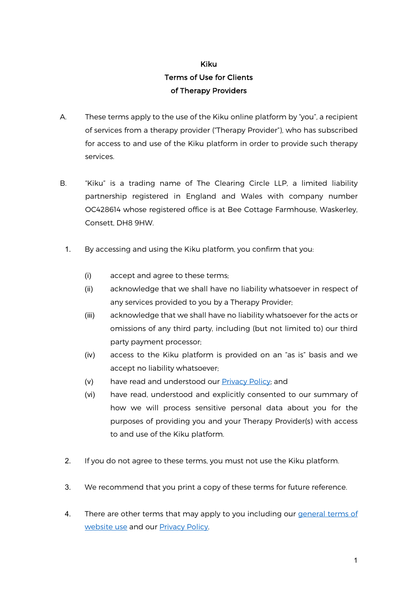## Kiku Terms of Use for Clients of Therapy Providers

- A. These terms apply to the use of the Kiku online platform by "you", a recipient of services from a therapy provider ("Therapy Provider"), who has subscribed for access to and use of the Kiku platform in order to provide such therapy services.
- B. "Kiku" is a trading name of The Clearing Circle LLP, a limited liability partnership registered in England and Wales with company number OC428614 whose registered office is at Bee Cottage Farmhouse, Waskerley, Consett, DH8 9HW.
- 1. By accessing and using the Kiku platform, you confirm that you:
	- (i) accept and agree to these terms;
	- (ii) acknowledge that we shall have no liability whatsoever in respect of any services provided to you by a Therapy Provider;
	- (iii) acknowledge that we shall have no liability whatsoever for the acts or omissions of any third party, including (but not limited to) our third party payment processor;
	- (iv) access to the Kiku platform is provided on an "as is" basis and we accept no liability whatsoever;
	- $(v)$  have read and understood our **Privacy Policy**; and
	- (vi) have read, understood and explicitly consented to our summary of how we will process sensitive personal data about you for the purposes of providing you and your Therapy Provider(s) with access to and use of the Kiku platform.
- 2. If you do not agree to these terms, you must not use the Kiku platform.
- 3. We recommend that you print a copy of these terms for future reference.
- 4. There are other terms that may apply to you including our general terms of website use and our Privacy Policy.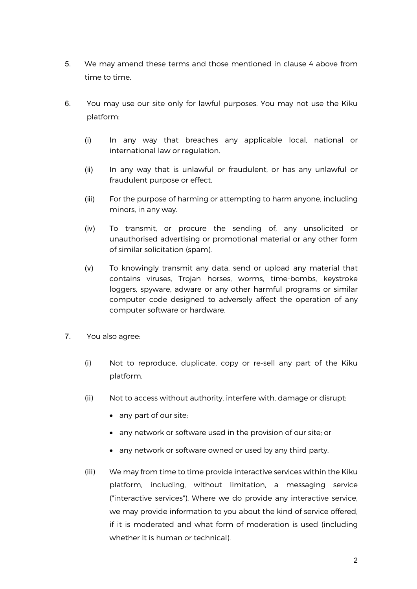- 5. We may amend these terms and those mentioned in clause 4 above from time to time.
- 6. You may use our site only for lawful purposes. You may not use the Kiku platform:
	- (i) In any way that breaches any applicable local, national or international law or regulation.
	- (ii) In any way that is unlawful or fraudulent, or has any unlawful or fraudulent purpose or effect.
	- (iii) For the purpose of harming or attempting to harm anyone, including minors, in any way.
	- (iv) To transmit, or procure the sending of, any unsolicited or unauthorised advertising or promotional material or any other form of similar solicitation (spam).
	- (v) To knowingly transmit any data, send or upload any material that contains viruses, Trojan horses, worms, time-bombs, keystroke loggers, spyware, adware or any other harmful programs or similar computer code designed to adversely affect the operation of any computer software or hardware.
- 7. You also agree:
	- (i) Not to reproduce, duplicate, copy or re-sell any part of the Kiku platform.
	- (ii) Not to access without authority, interfere with, damage or disrupt:
		- any part of our site;
		- any network or software used in the provision of our site; or
		- any network or software owned or used by any third party.
	- (iii) We may from time to time provide interactive services within the Kiku platform, including, without limitation, a messaging service ("interactive services"). Where we do provide any interactive service, we may provide information to you about the kind of service offered, if it is moderated and what form of moderation is used (including whether it is human or technical).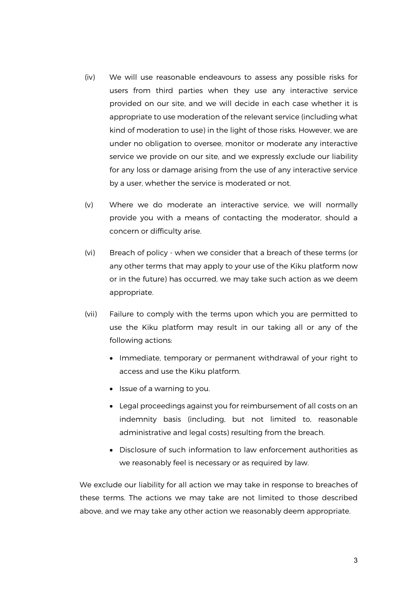- (iv) We will use reasonable endeavours to assess any possible risks for users from third parties when they use any interactive service provided on our site, and we will decide in each case whether it is appropriate to use moderation of the relevant service (including what kind of moderation to use) in the light of those risks. However, we are under no obligation to oversee, monitor or moderate any interactive service we provide on our site, and we expressly exclude our liability for any loss or damage arising from the use of any interactive service by a user, whether the service is moderated or not.
- (v) Where we do moderate an interactive service, we will normally provide you with a means of contacting the moderator, should a concern or difficulty arise.
- (vi) Breach of policy when we consider that a breach of these terms (or any other terms that may apply to your use of the Kiku platform now or in the future) has occurred, we may take such action as we deem appropriate.
- (vii) Failure to comply with the terms upon which you are permitted to use the Kiku platform may result in our taking all or any of the following actions:
	- Immediate, temporary or permanent withdrawal of your right to access and use the Kiku platform.
	- Issue of a warning to you.
	- Legal proceedings against you for reimbursement of all costs on an indemnity basis (including, but not limited to, reasonable administrative and legal costs) resulting from the breach.
	- Disclosure of such information to law enforcement authorities as we reasonably feel is necessary or as required by law.

We exclude our liability for all action we may take in response to breaches of these terms. The actions we may take are not limited to those described above, and we may take any other action we reasonably deem appropriate.